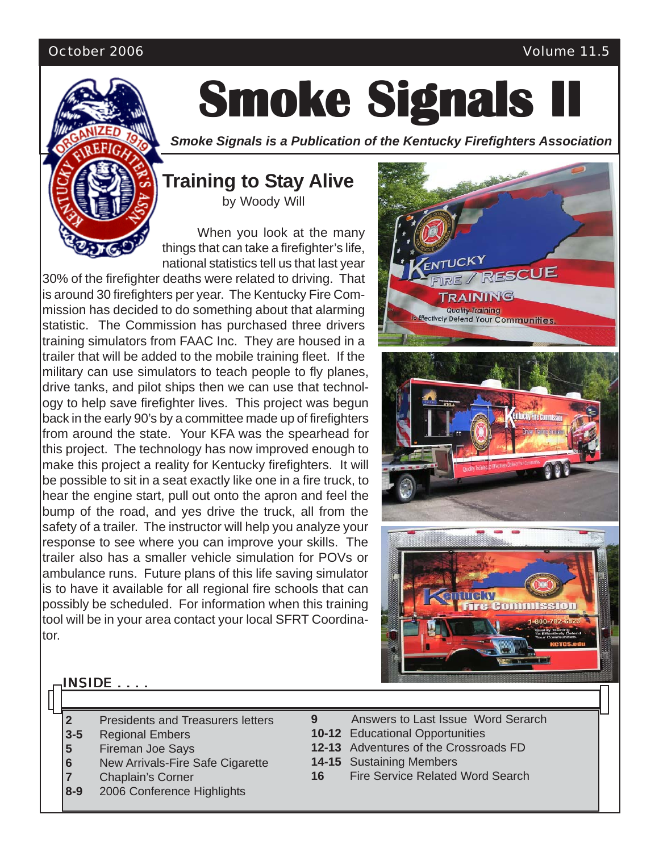#### October 2006 Volume 11.5



# **Smoke Signals II Smoke Signals II Smoke Signals II**

*Smoke Signals is a Publication of the Kentucky Firefighters Association*

### **Training to Stay Alive** by Woody Will

When you look at the many things that can take a firefighter's life, national statistics tell us that last year

30% of the firefighter deaths were related to driving. That is around 30 firefighters per year. The Kentucky Fire Commission has decided to do something about that alarming statistic. The Commission has purchased three drivers training simulators from FAAC Inc. They are housed in a trailer that will be added to the mobile training fleet. If the military can use simulators to teach people to fly planes, drive tanks, and pilot ships then we can use that technology to help save firefighter lives. This project was begun back in the early 90's by a committee made up of firefighters from around the state. Your KFA was the spearhead for this project. The technology has now improved enough to make this project a reality for Kentucky firefighters. It will be possible to sit in a seat exactly like one in a fire truck, to hear the engine start, pull out onto the apron and feel the bump of the road, and yes drive the truck, all from the safety of a trailer. The instructor will help you analyze your response to see where you can improve your skills. The trailer also has a smaller vehicle simulation for POVs or ambulance runs. Future plans of this life saving simulator is to have it available for all regional fire schools that can possibly be scheduled. For information when this training tool will be in your area contact your local SFRT Coordinator.



#### INSIDE . . . .

- **2** Presidents and Treasurers letters
- **3-5** Regional Embers
- **5** Fireman Joe Says
- **6** New Arrivals-Fire Safe Cigarette
- **7** Chaplain's Corner
- **8-9** 2006 Conference Highlights
- **9** Answers to Last Issue Word Serarch
- **10-12** Educational Opportunities
- **12-13** Adventures of the Crossroads FD
- **14-15** Sustaining Members
- **16** Fire Service Related Word Search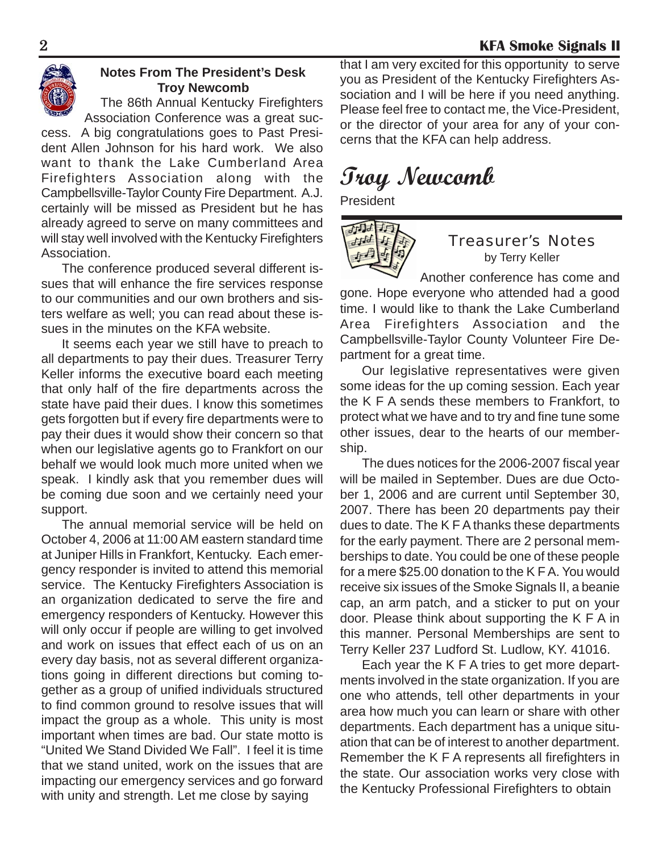

### **Notes From The President's Desk Troy Newcomb**

The 86th Annual Kentucky Firefighters Association Conference was a great suc-

cess. A big congratulations goes to Past President Allen Johnson for his hard work. We also want to thank the Lake Cumberland Area Firefighters Association along with the Campbellsville-Taylor County Fire Department. A.J. certainly will be missed as President but he has already agreed to serve on many committees and will stay well involved with the Kentucky Firefighters Association.

The conference produced several different issues that will enhance the fire services response to our communities and our own brothers and sisters welfare as well; you can read about these issues in the minutes on the KFA website.

It seems each year we still have to preach to all departments to pay their dues. Treasurer Terry Keller informs the executive board each meeting that only half of the fire departments across the state have paid their dues. I know this sometimes gets forgotten but if every fire departments were to pay their dues it would show their concern so that when our legislative agents go to Frankfort on our behalf we would look much more united when we speak. I kindly ask that you remember dues will be coming due soon and we certainly need your support.

The annual memorial service will be held on October 4, 2006 at 11:00 AM eastern standard time at Juniper Hills in Frankfort, Kentucky. Each emergency responder is invited to attend this memorial service. The Kentucky Firefighters Association is an organization dedicated to serve the fire and emergency responders of Kentucky. However this will only occur if people are willing to get involved and work on issues that effect each of us on an every day basis, not as several different organizations going in different directions but coming together as a group of unified individuals structured to find common ground to resolve issues that will impact the group as a whole. This unity is most important when times are bad. Our state motto is "United We Stand Divided We Fall". I feel it is time that we stand united, work on the issues that are impacting our emergency services and go forward with unity and strength. Let me close by saying

that I am very excited for this opportunity to serve you as President of the Kentucky Firefighters Association and I will be here if you need anything. Please feel free to contact me, the Vice-President, or the director of your area for any of your concerns that the KFA can help address.

## **Troy Newcomb**

President



#### Treasurer's Notes by Terry Keller

Another conference has come and gone. Hope everyone who attended had a good time. I would like to thank the Lake Cumberland Area Firefighters Association and the Campbellsville-Taylor County Volunteer Fire Department for a great time.

Our legislative representatives were given some ideas for the up coming session. Each year the K F A sends these members to Frankfort, to protect what we have and to try and fine tune some other issues, dear to the hearts of our membership.

The dues notices for the 2006-2007 fiscal year will be mailed in September. Dues are due October 1, 2006 and are current until September 30, 2007. There has been 20 departments pay their dues to date. The K F A thanks these departments for the early payment. There are 2 personal memberships to date. You could be one of these people for a mere \$25.00 donation to the K F A. You would receive six issues of the Smoke Signals II, a beanie cap, an arm patch, and a sticker to put on your door. Please think about supporting the K F A in this manner. Personal Memberships are sent to Terry Keller 237 Ludford St. Ludlow, KY. 41016.

Each year the K F A tries to get more departments involved in the state organization. If you are one who attends, tell other departments in your area how much you can learn or share with other departments. Each department has a unique situation that can be of interest to another department. Remember the K F A represents all firefighters in the state. Our association works very close with the Kentucky Professional Firefighters to obtain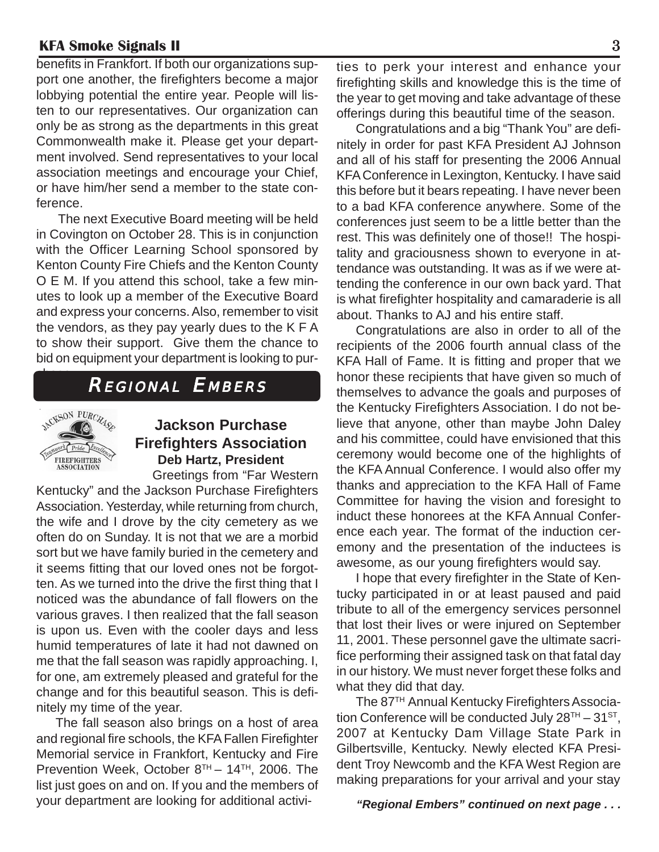benefits in Frankfort. If both our organizations support one another, the firefighters become a major lobbying potential the entire year. People will listen to our representatives. Our organization can only be as strong as the departments in this great Commonwealth make it. Please get your department involved. Send representatives to your local association meetings and encourage your Chief, or have him/her send a member to the state conference.

The next Executive Board meeting will be held in Covington on October 28. This is in conjunction with the Officer Learning School sponsored by Kenton County Fire Chiefs and the Kenton County O E M. If you attend this school, take a few minutes to look up a member of the Executive Board and express your concerns. Also, remember to visit the vendors, as they pay yearly dues to the K F A to show their support. Give them the chance to bid on equipment your department is looking to pur-

### REGIONAL EMBERS



chase.

### **Jackson Purchase Firefighters Association Deb Hartz, President**

Greetings from "Far Western Kentucky" and the Jackson Purchase Firefighters Association. Yesterday, while returning from church, the wife and I drove by the city cemetery as we often do on Sunday. It is not that we are a morbid sort but we have family buried in the cemetery and it seems fitting that our loved ones not be forgotten. As we turned into the drive the first thing that I noticed was the abundance of fall flowers on the various graves. I then realized that the fall season is upon us. Even with the cooler days and less humid temperatures of late it had not dawned on me that the fall season was rapidly approaching. I, for one, am extremely pleased and grateful for the change and for this beautiful season. This is definitely my time of the year.

The fall season also brings on a host of area and regional fire schools, the KFA Fallen Firefighter Memorial service in Frankfort, Kentucky and Fire Prevention Week, October  $8^{TH} - 14^{TH}$ , 2006. The list just goes on and on. If you and the members of your department are looking for additional activi-

ties to perk your interest and enhance your firefighting skills and knowledge this is the time of the year to get moving and take advantage of these offerings during this beautiful time of the season.

Congratulations and a big "Thank You" are definitely in order for past KFA President AJ Johnson and all of his staff for presenting the 2006 Annual KFA Conference in Lexington, Kentucky. I have said this before but it bears repeating. I have never been to a bad KFA conference anywhere. Some of the conferences just seem to be a little better than the rest. This was definitely one of those!! The hospitality and graciousness shown to everyone in attendance was outstanding. It was as if we were attending the conference in our own back yard. That is what firefighter hospitality and camaraderie is all about. Thanks to AJ and his entire staff.

Congratulations are also in order to all of the recipients of the 2006 fourth annual class of the KFA Hall of Fame. It is fitting and proper that we honor these recipients that have given so much of themselves to advance the goals and purposes of the Kentucky Firefighters Association. I do not believe that anyone, other than maybe John Daley and his committee, could have envisioned that this ceremony would become one of the highlights of the KFA Annual Conference. I would also offer my thanks and appreciation to the KFA Hall of Fame Committee for having the vision and foresight to induct these honorees at the KFA Annual Conference each year. The format of the induction ceremony and the presentation of the inductees is awesome, as our young firefighters would say.

I hope that every firefighter in the State of Kentucky participated in or at least paused and paid tribute to all of the emergency services personnel that lost their lives or were injured on September 11, 2001. These personnel gave the ultimate sacrifice performing their assigned task on that fatal day in our history. We must never forget these folks and what they did that day.

The 87TH Annual Kentucky Firefighters Association Conference will be conducted July  $28^{TH} - 31^{ST}$ , 2007 at Kentucky Dam Village State Park in Gilbertsville, Kentucky. Newly elected KFA President Troy Newcomb and the KFA West Region are making preparations for your arrival and your stay

 *"Regional Embers" continued on next page . . .*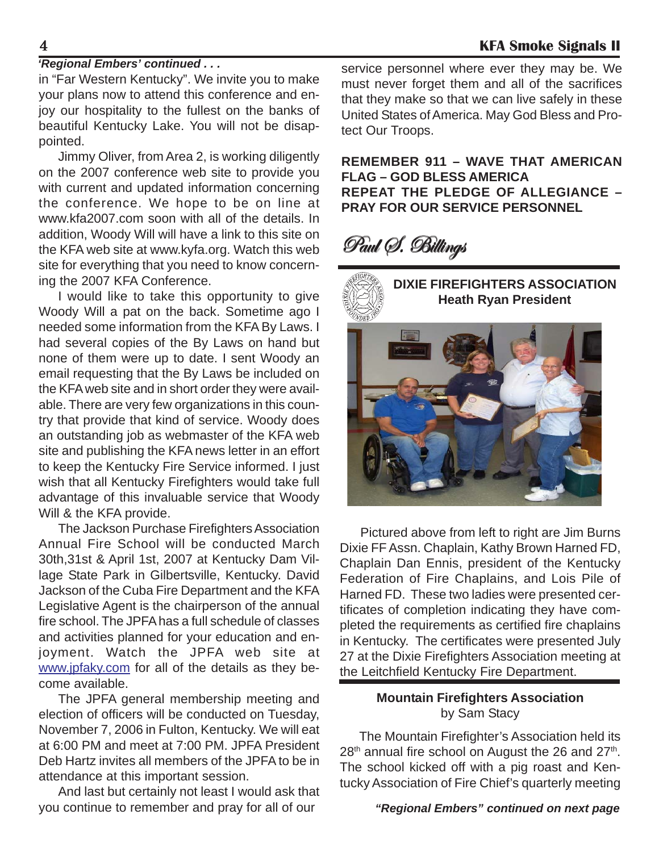#### *'Regional Embers' continued . . .*

in "Far Western Kentucky". We invite you to make your plans now to attend this conference and enjoy our hospitality to the fullest on the banks of beautiful Kentucky Lake. You will not be disappointed.

Jimmy Oliver, from Area 2, is working diligently on the 2007 conference web site to provide you with current and updated information concerning the conference. We hope to be on line at www.kfa2007.com soon with all of the details. In addition, Woody Will will have a link to this site on the KFA web site at www.kyfa.org. Watch this web site for everything that you need to know concerning the 2007 KFA Conference.

I would like to take this opportunity to give Woody Will a pat on the back. Sometime ago I needed some information from the KFA By Laws. I had several copies of the By Laws on hand but none of them were up to date. I sent Woody an email requesting that the By Laws be included on the KFA web site and in short order they were available. There are very few organizations in this country that provide that kind of service. Woody does an outstanding job as webmaster of the KFA web site and publishing the KFA news letter in an effort to keep the Kentucky Fire Service informed. I just wish that all Kentucky Firefighters would take full advantage of this invaluable service that Woody Will & the KFA provide.

The Jackson Purchase Firefighters Association Annual Fire School will be conducted March 30th,31st & April 1st, 2007 at Kentucky Dam Village State Park in Gilbertsville, Kentucky. David Jackson of the Cuba Fire Department and the KFA Legislative Agent is the chairperson of the annual fire school. The JPFA has a full schedule of classes and activities planned for your education and enjoyment. Watch the JPFA web site at www.jpfaky.com for all of the details as they become available.

The JPFA general membership meeting and election of officers will be conducted on Tuesday, November 7, 2006 in Fulton, Kentucky. We will eat at 6:00 PM and meet at 7:00 PM. JPFA President Deb Hartz invites all members of the JPFA to be in attendance at this important session.

And last but certainly not least I would ask that you continue to remember and pray for all of our

service personnel where ever they may be. We must never forget them and all of the sacrifices that they make so that we can live safely in these United States of America. May God Bless and Protect Our Troops.

**REMEMBER 911 – WAVE THAT AMERICAN FLAG – GOD BLESS AMERICA REPEAT THE PLEDGE OF ALLEGIANCE – PRAY FOR OUR SERVICE PERSONNEL**

## Paul (S. Billings



Pictured above from left to right are Jim Burns Dixie FF Assn. Chaplain, Kathy Brown Harned FD, Chaplain Dan Ennis, president of the Kentucky Federation of Fire Chaplains, and Lois Pile of Harned FD. These two ladies were presented certificates of completion indicating they have completed the requirements as certified fire chaplains in Kentucky. The certificates were presented July 27 at the Dixie Firefighters Association meeting at the Leitchfield Kentucky Fire Department.

#### **Mountain Firefighters Association** by Sam Stacy

The Mountain Firefighter's Association held its  $28<sup>th</sup>$  annual fire school on August the 26 and  $27<sup>th</sup>$ . The school kicked off with a pig roast and Kentucky Association of Fire Chief's quarterly meeting

#### *"Regional Embers" continued on next page*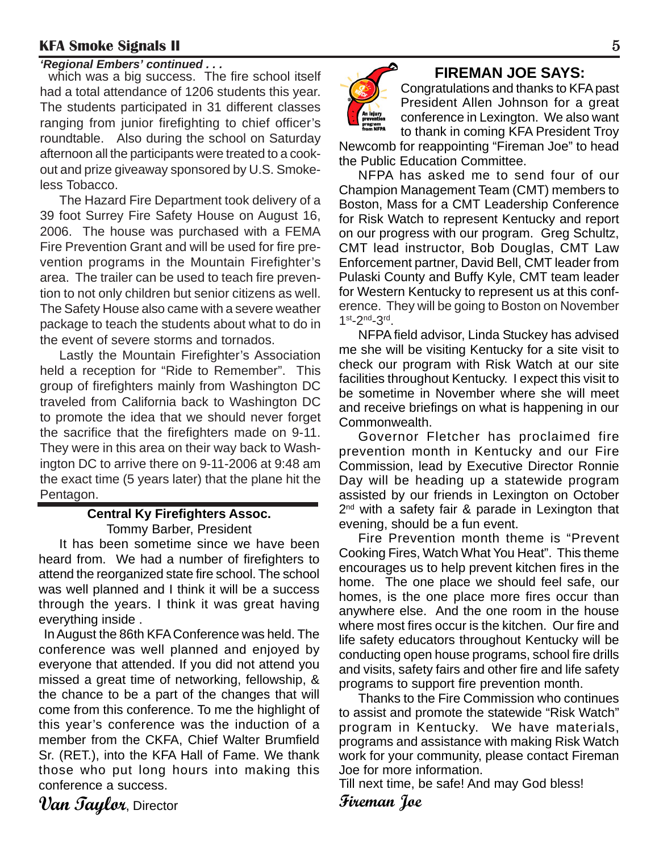**Example 19 A. The fire school itself FIREMAN JOE SAYS:** which was a big success. The fire school itself had a total attendance of 1206 students this year. The students participated in 31 different classes ranging from junior firefighting to chief officer's roundtable. Also during the school on Saturday afternoon all the participants were treated to a cookout and prize giveaway sponsored by U.S. Smokeless Tobacco.

The Hazard Fire Department took delivery of a 39 foot Surrey Fire Safety House on August 16, 2006. The house was purchased with a FEMA Fire Prevention Grant and will be used for fire prevention programs in the Mountain Firefighter's area. The trailer can be used to teach fire prevention to not only children but senior citizens as well. The Safety House also came with a severe weather package to teach the students about what to do in the event of severe storms and tornados.

Lastly the Mountain Firefighter's Association held a reception for "Ride to Remember". This group of firefighters mainly from Washington DC traveled from California back to Washington DC to promote the idea that we should never forget the sacrifice that the firefighters made on 9-11. They were in this area on their way back to Washington DC to arrive there on 9-11-2006 at 9:48 am the exact time (5 years later) that the plane hit the Pentagon.

#### **Central Ky Firefighters Assoc.** Tommy Barber, President

It has been sometime since we have been heard from. We had a number of firefighters to attend the reorganized state fire school. The school was well planned and I think it will be a success through the years. I think it was great having everything inside .

 In August the 86th KFA Conference was held. The conference was well planned and enjoyed by everyone that attended. If you did not attend you missed a great time of networking, fellowship, & the chance to be a part of the changes that will come from this conference. To me the highlight of this year's conference was the induction of a member from the CKFA, Chief Walter Brumfield Sr. (RET.), into the KFA Hall of Fame. We thank those who put long hours into making this conference a success.

**Van Taylor**, Director



Congratulations and thanks to KFA past President Allen Johnson for a great conference in Lexington. We also want to thank in coming KFA President Troy

Newcomb for reappointing "Fireman Joe" to head the Public Education Committee.

NFPA has asked me to send four of our Champion Management Team (CMT) members to Boston, Mass for a CMT Leadership Conference for Risk Watch to represent Kentucky and report on our progress with our program. Greg Schultz, CMT lead instructor, Bob Douglas, CMT Law Enforcement partner, David Bell, CMT leader from Pulaski County and Buffy Kyle, CMT team leader for Western Kentucky to represent us at this conference. They will be going to Boston on November 1<sup>st</sup>-2<sup>nd</sup>-3<sup>rd</sup>.

NFPA field advisor, Linda Stuckey has advised me she will be visiting Kentucky for a site visit to check our program with Risk Watch at our site facilities throughout Kentucky. I expect this visit to be sometime in November where she will meet and receive briefings on what is happening in our Commonwealth.

Governor Fletcher has proclaimed fire prevention month in Kentucky and our Fire Commission, lead by Executive Director Ronnie Day will be heading up a statewide program assisted by our friends in Lexington on October  $2<sup>nd</sup>$  with a safety fair & parade in Lexington that evening, should be a fun event.

Fire Prevention month theme is "Prevent Cooking Fires, Watch What You Heat". This theme encourages us to help prevent kitchen fires in the home. The one place we should feel safe, our homes, is the one place more fires occur than anywhere else. And the one room in the house where most fires occur is the kitchen. Our fire and life safety educators throughout Kentucky will be conducting open house programs, school fire drills and visits, safety fairs and other fire and life safety programs to support fire prevention month.

Thanks to the Fire Commission who continues to assist and promote the statewide "Risk Watch" program in Kentucky. We have materials, programs and assistance with making Risk Watch work for your community, please contact Fireman Joe for more information.

Till next time, be safe! And may God bless! **Fireman Joe**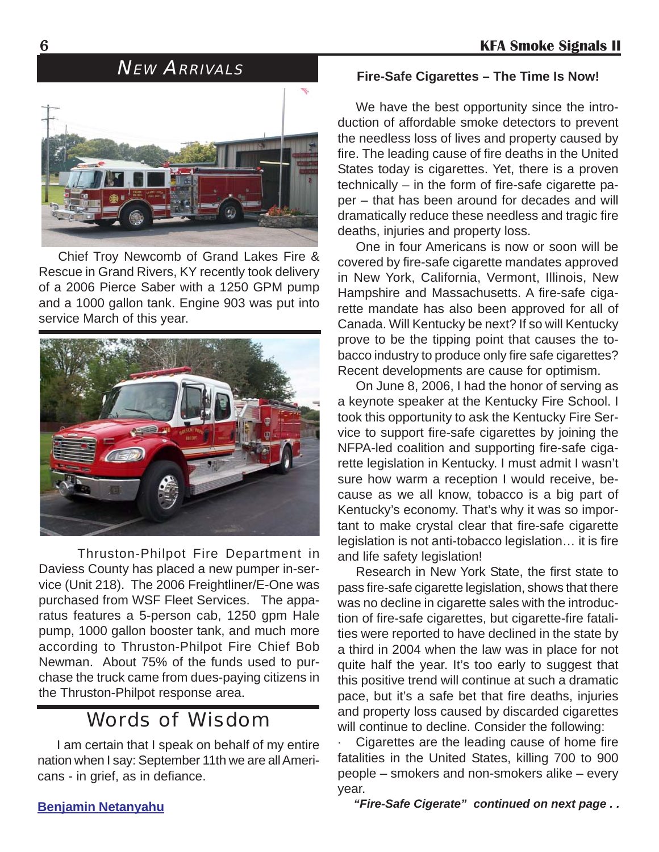

Chief Troy Newcomb of Grand Lakes Fire & Rescue in Grand Rivers, KY recently took delivery of a 2006 Pierce Saber with a 1250 GPM pump and a 1000 gallon tank. Engine 903 was put into service March of this year.



Thruston-Philpot Fire Department in Daviess County has placed a new pumper in-service (Unit 218). The 2006 Freightliner/E-One was purchased from WSF Fleet Services. The apparatus features a 5-person cab, 1250 gpm Hale pump, 1000 gallon booster tank, and much more according to Thruston-Philpot Fire Chief Bob Newman. About 75% of the funds used to purchase the truck came from dues-paying citizens in the Thruston-Philpot response area.

### Words of Wisdom

I am certain that I speak on behalf of my entire nation when I say: September 11th we are all Americans - in grief, as in defiance.

#### **Benjamin Netanyahu**

## NEW ARRIVALS **Fire-Safe Cigarettes – The Time Is Now!**

We have the best opportunity since the introduction of affordable smoke detectors to prevent the needless loss of lives and property caused by fire. The leading cause of fire deaths in the United States today is cigarettes. Yet, there is a proven technically – in the form of fire-safe cigarette paper – that has been around for decades and will dramatically reduce these needless and tragic fire deaths, injuries and property loss.

One in four Americans is now or soon will be covered by fire-safe cigarette mandates approved in New York, California, Vermont, Illinois, New Hampshire and Massachusetts. A fire-safe cigarette mandate has also been approved for all of Canada. Will Kentucky be next? If so will Kentucky prove to be the tipping point that causes the tobacco industry to produce only fire safe cigarettes? Recent developments are cause for optimism.

On June 8, 2006, I had the honor of serving as a keynote speaker at the Kentucky Fire School. I took this opportunity to ask the Kentucky Fire Service to support fire-safe cigarettes by joining the NFPA-led coalition and supporting fire-safe cigarette legislation in Kentucky. I must admit I wasn't sure how warm a reception I would receive, because as we all know, tobacco is a big part of Kentucky's economy. That's why it was so important to make crystal clear that fire-safe cigarette legislation is not anti-tobacco legislation… it is fire and life safety legislation!

Research in New York State, the first state to pass fire-safe cigarette legislation, shows that there was no decline in cigarette sales with the introduction of fire-safe cigarettes, but cigarette-fire fatalities were reported to have declined in the state by a third in 2004 when the law was in place for not quite half the year. It's too early to suggest that this positive trend will continue at such a dramatic pace, but it's a safe bet that fire deaths, injuries and property loss caused by discarded cigarettes will continue to decline. Consider the following:

Cigarettes are the leading cause of home fire fatalities in the United States, killing 700 to 900 people – smokers and non-smokers alike – every year.

*"Fire-Safe Cigerate" continued on next page . .*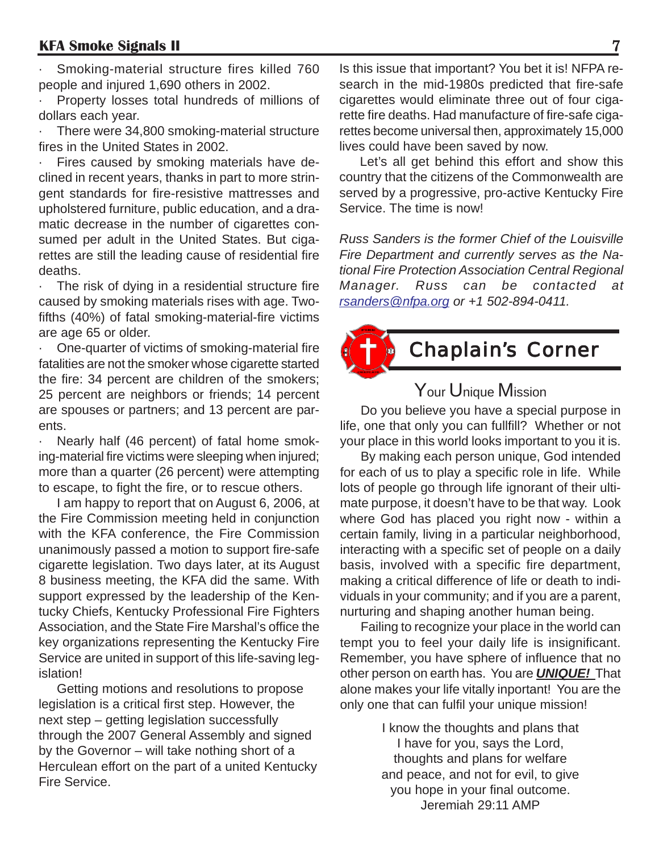Smoking-material structure fires killed 760 people and injured 1,690 others in 2002.

Property losses total hundreds of millions of dollars each year.

There were 34,800 smoking-material structure fires in the United States in 2002.

Fires caused by smoking materials have declined in recent years, thanks in part to more stringent standards for fire-resistive mattresses and upholstered furniture, public education, and a dramatic decrease in the number of cigarettes consumed per adult in the United States. But cigarettes are still the leading cause of residential fire deaths.

· The risk of dying in a residential structure fire caused by smoking materials rises with age. Twofifths (40%) of fatal smoking-material-fire victims are age 65 or older.

· One-quarter of victims of smoking-material fire fatalities are not the smoker whose cigarette started the fire: 34 percent are children of the smokers; 25 percent are neighbors or friends; 14 percent are spouses or partners; and 13 percent are parents.

Nearly half (46 percent) of fatal home smoking-material fire victims were sleeping when injured; more than a quarter (26 percent) were attempting to escape, to fight the fire, or to rescue others.

I am happy to report that on August 6, 2006, at the Fire Commission meeting held in conjunction with the KFA conference, the Fire Commission unanimously passed a motion to support fire-safe cigarette legislation. Two days later, at its August 8 business meeting, the KFA did the same. With support expressed by the leadership of the Kentucky Chiefs, Kentucky Professional Fire Fighters Association, and the State Fire Marshal's office the key organizations representing the Kentucky Fire Service are united in support of this life-saving legislation!

Getting motions and resolutions to propose legislation is a critical first step. However, the next step – getting legislation successfully through the 2007 General Assembly and signed by the Governor – will take nothing short of a Herculean effort on the part of a united Kentucky Fire Service.

Is this issue that important? You bet it is! NFPA research in the mid-1980s predicted that fire-safe cigarettes would eliminate three out of four cigarette fire deaths. Had manufacture of fire-safe cigarettes become universal then, approximately 15,000 lives could have been saved by now.

Let's all get behind this effort and show this country that the citizens of the Commonwealth are served by a progressive, pro-active Kentucky Fire Service. The time is now!

*Russ Sanders is the former Chief of the Louisville Fire Department and currently serves as the National Fire Protection Association Central Regional Manager. Russ can be contacted at rsanders@nfpa.org or +1 502-894-0411.*



### Your Unique Mission

Do you believe you have a special purpose in life, one that only you can fullfill? Whether or not your place in this world looks important to you it is.

By making each person unique, God intended for each of us to play a specific role in life. While lots of people go through life ignorant of their ultimate purpose, it doesn't have to be that way. Look where God has placed you right now - within a certain family, living in a particular neighborhood, interacting with a specific set of people on a daily basis, involved with a specific fire department, making a critical difference of life or death to individuals in your community; and if you are a parent, nurturing and shaping another human being.

Failing to recognize your place in the world can tempt you to feel your daily life is insignificant. Remember, you have sphere of influence that no other person on earth has. You are *UNIQUE!* That alone makes your life vitally inportant! You are the only one that can fulfil your unique mission!

> I know the thoughts and plans that I have for you, says the Lord, thoughts and plans for welfare and peace, and not for evil, to give you hope in your final outcome. Jeremiah 29:11 AMP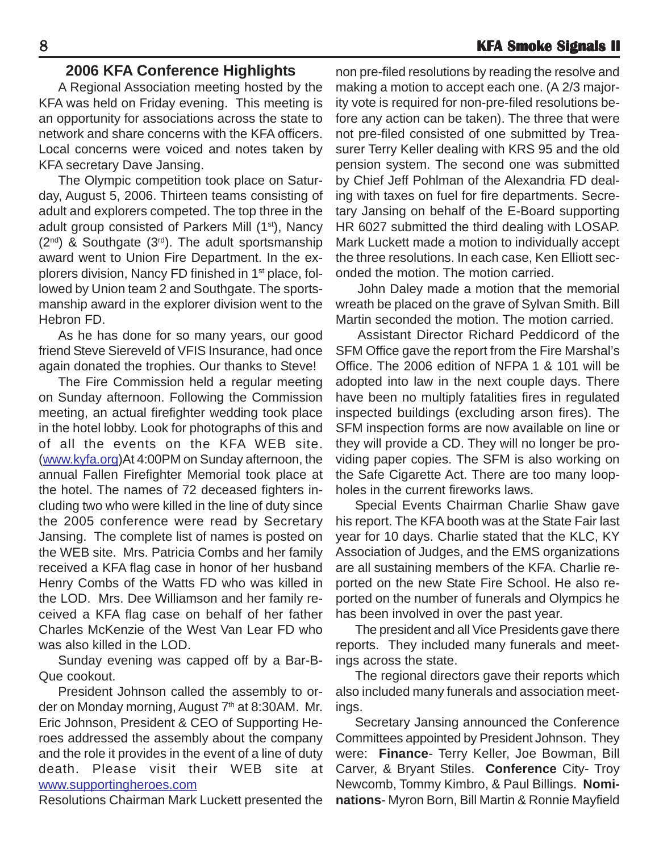### **2006 KFA Conference Highlights**

A Regional Association meeting hosted by the KFA was held on Friday evening. This meeting is an opportunity for associations across the state to network and share concerns with the KFA officers. Local concerns were voiced and notes taken by KFA secretary Dave Jansing.

The Olympic competition took place on Saturday, August 5, 2006. Thirteen teams consisting of adult and explorers competed. The top three in the adult group consisted of Parkers Mill (1<sup>st</sup>), Nancy  $(2^{nd})$  & Southgate  $(3^{rd})$ . The adult sportsmanship award went to Union Fire Department. In the explorers division, Nancy FD finished in 1<sup>st</sup> place, followed by Union team 2 and Southgate. The sportsmanship award in the explorer division went to the Hebron FD.

As he has done for so many years, our good friend Steve Siereveld of VFIS Insurance, had once again donated the trophies. Our thanks to Steve!

The Fire Commission held a regular meeting on Sunday afternoon. Following the Commission meeting, an actual firefighter wedding took place in the hotel lobby. Look for photographs of this and of all the events on the KFA WEB site. (www.kyfa.org)At 4:00PM on Sunday afternoon, the annual Fallen Firefighter Memorial took place at the hotel. The names of 72 deceased fighters including two who were killed in the line of duty since the 2005 conference were read by Secretary Jansing. The complete list of names is posted on the WEB site. Mrs. Patricia Combs and her family received a KFA flag case in honor of her husband Henry Combs of the Watts FD who was killed in the LOD. Mrs. Dee Williamson and her family received a KFA flag case on behalf of her father Charles McKenzie of the West Van Lear FD who was also killed in the LOD.

Sunday evening was capped off by a Bar-B-Que cookout.

President Johnson called the assembly to order on Monday morning, August 7<sup>th</sup> at 8:30AM. Mr. Eric Johnson, President & CEO of Supporting Heroes addressed the assembly about the company and the role it provides in the event of a line of duty death. Please visit their WEB site at www.supportingheroes.com

Resolutions Chairman Mark Luckett presented the

non pre-filed resolutions by reading the resolve and making a motion to accept each one. (A 2/3 majority vote is required for non-pre-filed resolutions before any action can be taken). The three that were not pre-filed consisted of one submitted by Treasurer Terry Keller dealing with KRS 95 and the old pension system. The second one was submitted by Chief Jeff Pohlman of the Alexandria FD dealing with taxes on fuel for fire departments. Secretary Jansing on behalf of the E-Board supporting HR 6027 submitted the third dealing with LOSAP. Mark Luckett made a motion to individually accept the three resolutions. In each case, Ken Elliott seconded the motion. The motion carried.

John Daley made a motion that the memorial wreath be placed on the grave of Sylvan Smith. Bill Martin seconded the motion. The motion carried.

Assistant Director Richard Peddicord of the SFM Office gave the report from the Fire Marshal's Office. The 2006 edition of NFPA 1 & 101 will be adopted into law in the next couple days. There have been no multiply fatalities fires in regulated inspected buildings (excluding arson fires). The SFM inspection forms are now available on line or they will provide a CD. They will no longer be providing paper copies. The SFM is also working on the Safe Cigarette Act. There are too many loopholes in the current fireworks laws.

Special Events Chairman Charlie Shaw gave his report. The KFA booth was at the State Fair last year for 10 days. Charlie stated that the KLC, KY Association of Judges, and the EMS organizations are all sustaining members of the KFA. Charlie reported on the new State Fire School. He also reported on the number of funerals and Olympics he has been involved in over the past year.

The president and all Vice Presidents gave there reports. They included many funerals and meetings across the state.

The regional directors gave their reports which also included many funerals and association meetings.

Secretary Jansing announced the Conference Committees appointed by President Johnson. They were: **Finance**- Terry Keller, Joe Bowman, Bill Carver, & Bryant Stiles. **Conference** City- Troy Newcomb, Tommy Kimbro, & Paul Billings. **Nominations**- Myron Born, Bill Martin & Ronnie Mayfield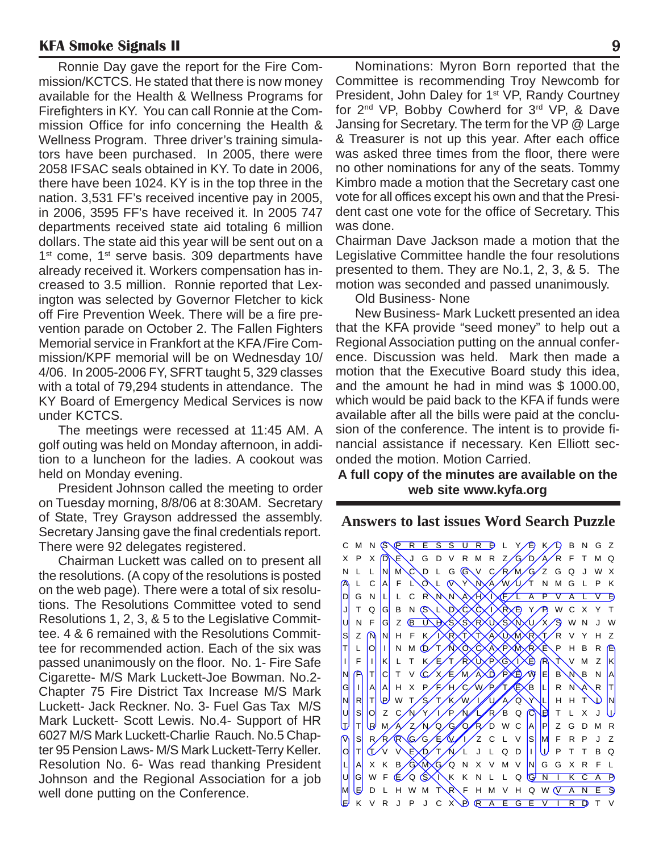Ronnie Day gave the report for the Fire Commission/KCTCS. He stated that there is now money available for the Health & Wellness Programs for Firefighters in KY. You can call Ronnie at the Commission Office for info concerning the Health & Wellness Program. Three driver's training simulators have been purchased. In 2005, there were 2058 IFSAC seals obtained in KY. To date in 2006, there have been 1024. KY is in the top three in the nation. 3,531 FF's received incentive pay in 2005, in 2006, 3595 FF's have received it. In 2005 747 departments received state aid totaling 6 million dollars. The state aid this year will be sent out on a  $1<sup>st</sup>$  come,  $1<sup>st</sup>$  serve basis. 309 departments have already received it. Workers compensation has increased to 3.5 million. Ronnie reported that Lexington was selected by Governor Fletcher to kick off Fire Prevention Week. There will be a fire prevention parade on October 2. The Fallen Fighters Memorial service in Frankfort at the KFA /Fire Commission/KPF memorial will be on Wednesday 10/ 4/06. In 2005-2006 FY, SFRT taught 5, 329 classes with a total of 79,294 students in attendance. The KY Board of Emergency Medical Services is now under KCTCS.

The meetings were recessed at 11:45 AM. A golf outing was held on Monday afternoon, in addition to a luncheon for the ladies. A cookout was held on Monday evening.

President Johnson called the meeting to order on Tuesday morning, 8/8/06 at 8:30AM. Secretary of State, Trey Grayson addressed the assembly. Secretary Jansing gave the final credentials report. There were 92 delegates registered.

Chairman Luckett was called on to present all the resolutions. (A copy of the resolutions is posted on the web page). There were a total of six resolutions. The Resolutions Committee voted to send Resolutions 1, 2, 3, & 5 to the Legislative Committee. 4 & 6 remained with the Resolutions Committee for recommended action. Each of the six was passed unanimously on the floor. No. 1- Fire Safe Cigarette- M/S Mark Luckett-Joe Bowman. No.2- Chapter 75 Fire District Tax Increase M/S Mark Luckett- Jack Reckner. No. 3- Fuel Gas Tax M/S Mark Luckett- Scott Lewis. No.4- Support of HR 6027 M/S Mark Luckett-Charlie Rauch. No.5 Chapter 95 Pension Laws- M/S Mark Luckett-Terry Keller. Resolution No. 6- Was read thanking President Johnson and the Regional Association for a job well done putting on the Conference.

Nominations: Myron Born reported that the Committee is recommending Troy Newcomb for President, John Daley for 1<sup>st</sup> VP, Randy Courtney for 2<sup>nd</sup> VP, Bobby Cowherd for 3<sup>rd</sup> VP, & Dave Jansing for Secretary. The term for the VP @ Large & Treasurer is not up this year. After each office was asked three times from the floor, there were no other nominations for any of the seats. Tommy Kimbro made a motion that the Secretary cast one vote for all offices except his own and that the President cast one vote for the office of Secretary. This was done.

Chairman Dave Jackson made a motion that the Legislative Committee handle the four resolutions presented to them. They are No.1, 2, 3, & 5. The motion was seconded and passed unanimously.

Old Business- None

New Business- Mark Luckett presented an idea that the KFA provide "seed money" to help out a Regional Association putting on the annual conference. Discussion was held. Mark then made a motion that the Executive Board study this idea, and the amount he had in mind was \$ 1000.00, which would be paid back to the KFA if funds were available after all the bills were paid at the conclusion of the conference. The intent is to provide financial assistance if necessary. Ken Elliott seconded the motion. Motion Carried.

#### **A full copy of the minutes are available on the web site www.kyfa.org**

**Answers to last issues Word Search Puzzle**

CMNS P R E S S U R D L Y P K D B N G Z  $X$  P  $X$   $\overline{D}$   $\rightarrow$  J  $G$  D  $V$  R M R  $Z/G$   $D/A$   $R$  F T M Q N L L N M C D L G G V C R M G Z G Q J W X L C A F L O L O Y N A W U T N M G L P K  $|D|$  GNL L CRNNA A  $\lambda$ t $\lambda$ t $\lambda$ t $\lambda$ t $\lambda$ t $\lambda$  a pvalvb J T Q G B N S L D C X X P Y P W C X Y T |U N F G Z <u>@ U D</u>XSXSXRXUXSXNXU/X/9 W N J W S Z NN H F K IXRXTXTXAXUXMXRXT/R V Y H Z T L O I N M D T NXOXCXAXPXMXRXE P H B R  $|I|$  F  $|I|$  K L T K E T R W P G A B R T V M Z K  $NF|T|C|TV$  (Cx  $\times$  E  $M$  A  $D$  P  $D$   $N$  E  $B$   $N$  B  $N$  A G|I||A||A| HX P/F/H/C/W/P//T/EXB|L| RN\A\R|T  $N|R|T|Q$  w t/s/t/k/w/i/l/a/q/ $\chi$ l h h t\)  $N$  $|U||S|$ OZCAYYIPALRBQCETLXJU  $\frac{1}{\sqrt{2}}$  T RM  $\frac{1}{\sqrt{2}}$  N  $\frac{1}{\sqrt{2}}$  G  $\frac{1}{\sqrt{2}}$  R  $\frac{1}{\sqrt{2}}$  W C A P  $\sqrt{2}$  G D M R  $\vert s \vert$  r/r/r/g/g/e/ $\sqrt{t}/\sqrt{2}$  c l v  $\vert s \vert$   $\vert M$  f r p j z  $\vert \sigma \vert$ t $\langle \nu \rangle$ v $\chi$ e $\chi$ d $\gamma \chi$  $\chi$ l jlqd $\vert \mu \vert$ pttbq L A XK B G M G Q N X V M V N G G X R F L UGWF E Q SAKK NL L Q <mark>GNTK C A P</mark>  $M \times D$  L H W M T R F H M V H Q W  $V$  A N E S E K V R J P J C X P R A E G E V I R D T V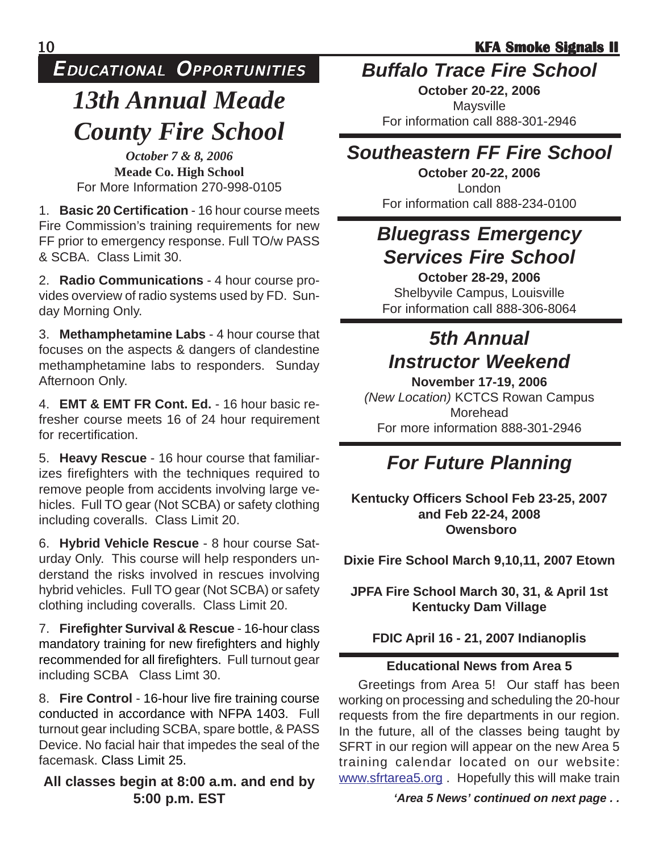### EDUCATIONAL OPPORTUNITIES

## *13th Annual Meade County Fire School*

*October 7 & 8, 2006* **Meade Co. High School** For More Information 270-998-0105

1. **Basic 20 Certification** - 16 hour course meets Fire Commission's training requirements for new FF prior to emergency response. Full TO/w PASS & SCBA. Class Limit 30.

2. **Radio Communications** - 4 hour course provides overview of radio systems used by FD. Sunday Morning Only.

3. **Methamphetamine Labs** - 4 hour course that focuses on the aspects & dangers of clandestine methamphetamine labs to responders. Sunday Afternoon Only.

4. **EMT & EMT FR Cont. Ed.** - 16 hour basic refresher course meets 16 of 24 hour requirement for recertification.

5. **Heavy Rescue** - 16 hour course that familiarizes firefighters with the techniques required to remove people from accidents involving large vehicles. Full TO gear (Not SCBA) or safety clothing including coveralls. Class Limit 20.

6. **Hybrid Vehicle Rescue** - 8 hour course Saturday Only. This course will help responders understand the risks involved in rescues involving hybrid vehicles. Full TO gear (Not SCBA) or safety clothing including coveralls. Class Limit 20.

7. **Firefighter Survival & Rescue** - 16-hour class mandatory training for new firefighters and highly recommended for all firefighters. Full turnout gear including SCBA Class Limt 30.

8. **Fire Control** - 16-hour live fire training course conducted in accordance with NFPA 1403. Full turnout gear including SCBA, spare bottle, & PASS Device. No facial hair that impedes the seal of the facemask. Class Limit 25.

#### **All classes begin at 8:00 a.m. and end by 5:00 p.m. EST**

### *Buffalo Trace Fire School*

**October 20-22, 2006** Maysville For information call 888-301-2946

### *Southeastern FF Fire School*

**October 20-22, 2006** London For information call 888-234-0100

### *Bluegrass Emergency Services Fire School*

**October 28-29, 2006**

Shelbyvile Campus, Louisville For information call 888-306-8064

### *5th Annual Instructor Weekend*

**November 17-19, 2006** *(New Location)* KCTCS Rowan Campus Morehead For more information 888-301-2946

## *For Future Planning*

**Kentucky Officers School Feb 23-25, 2007 and Feb 22-24, 2008 Owensboro**

**Dixie Fire School March 9,10,11, 2007 Etown**

**JPFA Fire School March 30, 31, & April 1st Kentucky Dam Village**

**FDIC April 16 - 21, 2007 Indianoplis**

#### **Educational News from Area 5**

Greetings from Area 5! Our staff has been working on processing and scheduling the 20-hour requests from the fire departments in our region. In the future, all of the classes being taught by SFRT in our region will appear on the new Area 5 training calendar located on our website: www.sfrtarea5.org . Hopefully this will make train

#### *'Area 5 News' continued on next page . .*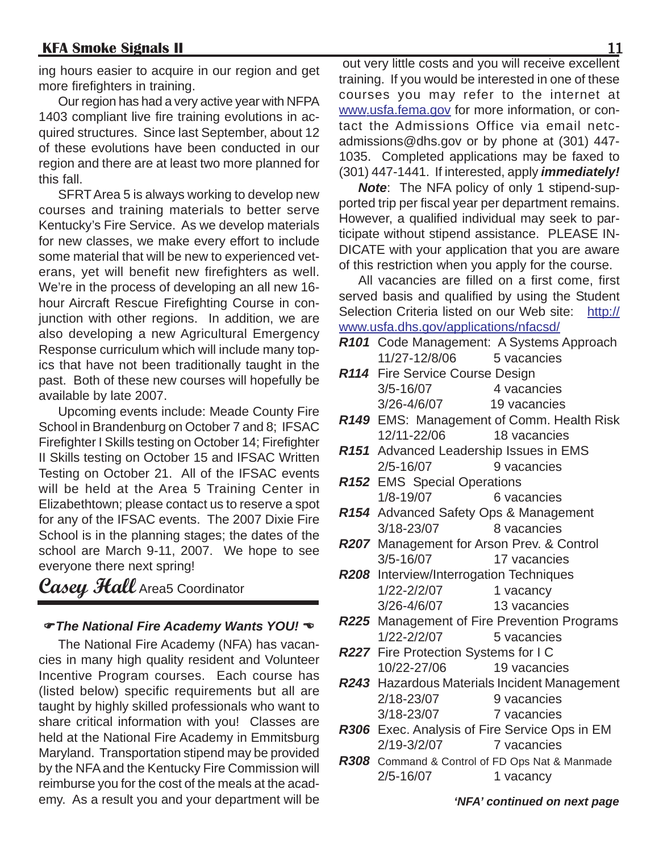ing hours easier to acquire in our region and get more firefighters in training.

Our region has had a very active year with NFPA 1403 compliant live fire training evolutions in acquired structures. Since last September, about 12 of these evolutions have been conducted in our region and there are at least two more planned for this fall.

SFRT Area 5 is always working to develop new courses and training materials to better serve Kentucky's Fire Service. As we develop materials for new classes, we make every effort to include some material that will be new to experienced veterans, yet will benefit new firefighters as well. We're in the process of developing an all new 16 hour Aircraft Rescue Firefighting Course in conjunction with other regions. In addition, we are also developing a new Agricultural Emergency Response curriculum which will include many topics that have not been traditionally taught in the past. Both of these new courses will hopefully be available by late 2007.

Upcoming events include: Meade County Fire School in Brandenburg on October 7 and 8; IFSAC Firefighter I Skills testing on October 14; Firefighter II Skills testing on October 15 and IFSAC Written Testing on October 21. All of the IFSAC events will be held at the Area 5 Training Center in Elizabethtown; please contact us to reserve a spot for any of the IFSAC events. The 2007 Dixie Fire School is in the planning stages; the dates of the school are March 9-11, 2007. We hope to see everyone there next spring!

**Casey Hall** Area5 Coordinator

#### )*The National Fire Academy Wants YOU!* (

The National Fire Academy (NFA) has vacancies in many high quality resident and Volunteer Incentive Program courses. Each course has (listed below) specific requirements but all are taught by highly skilled professionals who want to share critical information with you! Classes are held at the National Fire Academy in Emmitsburg Maryland. Transportation stipend may be provided by the NFA and the Kentucky Fire Commission will reimburse you for the cost of the meals at the academy. As a result you and your department will be

 out very little costs and you will receive excellent training. If you would be interested in one of these courses you may refer to the internet at www.usfa.fema.gov for more information, or contact the Admissions Office via email netcadmissions@dhs.gov or by phone at (301) 447- 1035. Completed applications may be faxed to (301) 447-1441. If interested, apply *immediately!*

*Note*: The NFA policy of only 1 stipend-supported trip per fiscal year per department remains. However, a qualified individual may seek to participate without stipend assistance. PLEASE IN-DICATE with your application that you are aware of this restriction when you apply for the course.

All vacancies are filled on a first come, first served basis and qualified by using the Student Selection Criteria listed on our Web site: http:// www.usfa.dhs.gov/applications/nfacsd/

- *R101* Code Management: A Systems Approach 11/27-12/8/06 5 vacancies
- *R114* Fire Service Course Design 3/5-16/07 4 vacancies 3/26-4/6/07 19 vacancies
- *R149* EMS: Management of Comm. Health Risk 12/11-22/06 18 vacancies
- *R151* Advanced Leadership Issues in EMS 2/5-16/07 9 vacancies
- *R152* EMS Special Operations 1/8-19/07 6 vacancies
- *R154* Advanced Safety Ops & Management 3/18-23/07 8 vacancies
- *R207* Management for Arson Prev. & Control 3/5-16/07 17 vacancies
- *R208* Interview/Interrogation Techniques 1/22-2/2/07 1 vacancy 3/26-4/6/07 13 vacancies
- *R225* Management of Fire Prevention Programs 1/22-2/2/07 5 vacancies
- *R227* Fire Protection Systems for I C 10/22-27/06 19 vacancies
- *R243* Hazardous Materials Incident Management 2/18-23/07 9 vacancies 3/18-23/07 7 vacancies
- *R306* Exec. Analysis of Fire Service Ops in EM 2/19-3/2/07 7 vacancies
- *R308* Command & Control of FD Ops Nat & Manmade 2/5-16/07 1 vacancy

*'NFA' continued on next page*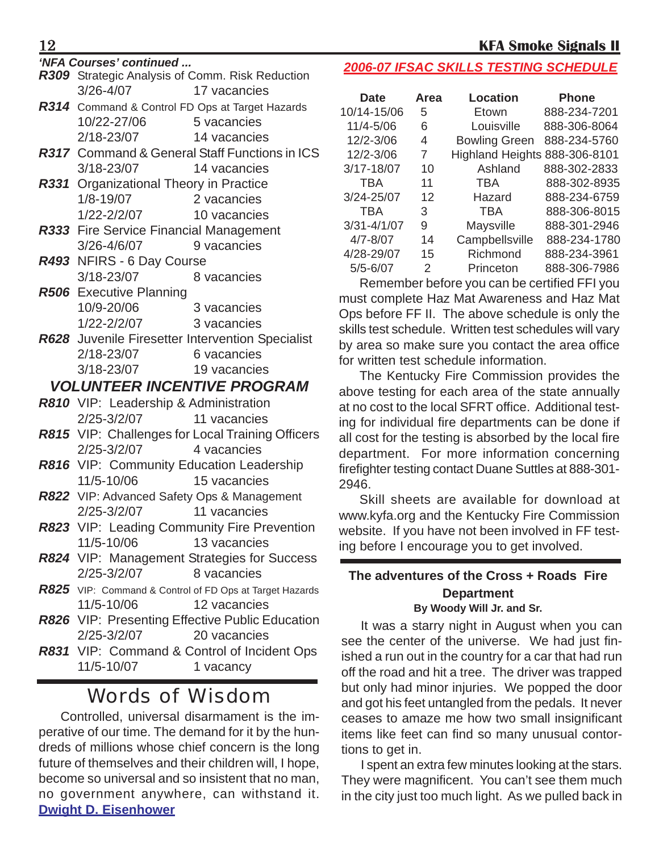|               | R309 Strategic Analysis of Comm. Risk Reduction |
|---------------|-------------------------------------------------|
| $3/26 - 4/07$ | 17 vacancies                                    |

| R314 Command & Control FD Ops at Target Hazards      |                                               |  |  |  |  |  |  |  |
|------------------------------------------------------|-----------------------------------------------|--|--|--|--|--|--|--|
| 10/22-27/06                                          | 5 vacancies                                   |  |  |  |  |  |  |  |
| 2/18-23/07                                           | 14 vacancies                                  |  |  |  |  |  |  |  |
| <b>R317</b> Command & General Staff Functions in ICS |                                               |  |  |  |  |  |  |  |
| 3/18-23/07                                           | 14 vacancies                                  |  |  |  |  |  |  |  |
|                                                      | <b>R331</b> Organizational Theory in Practice |  |  |  |  |  |  |  |
| $1/8 - 19/07$                                        | 2 vacancies                                   |  |  |  |  |  |  |  |
| 1/22-2/2/07                                          | 10 vacancies                                  |  |  |  |  |  |  |  |

- *R333* Fire Service Financial Management 3/26-4/6/07 9 vacancies
- *R493* NFIRS 6 Day Course 3/18-23/07 8 vacancies
- *R506* Executive Planning 10/9-20/06 3 vacancies 1/22-2/2/07 3 vacancies
- *R628* Juvenile Firesetter Intervention Specialist 2/18-23/07 6 vacancies 3/18-23/07 19 vacancies

#### *VOLUNTEER INCENTIVE PROGRAM*

- *R810* VIP: Leadership & Administration 2/25-3/2/07 11 vacancies
- *R815* VIP: Challenges for Local Training Officers 2/25-3/2/07 4 vacancies
- *R816* VIP: Community Education Leadership 11/5-10/06 15 vacancies
- *R822* VIP: Advanced Safety Ops & Management 2/25-3/2/07 11 vacancies
- *R823* VIP: Leading Community Fire Prevention 11/5-10/06 13 vacancies
- *R824* VIP: Management Strategies for Success 2/25-3/2/07 8 vacancies
- *R825* VIP: Command & Control of FD Ops at Target Hazards 11/5-10/06 12 vacancies
- *R826* VIP: Presenting Effective Public Education 2/25-3/2/07 20 vacancies
- *R831* VIP: Command & Control of Incident Ops 11/5-10/07 1 vacancy

### Words of Wisdom

Controlled, universal disarmament is the imperative of our time. The demand for it by the hundreds of millions whose chief concern is the long future of themselves and their children will, I hope, become so universal and so insistent that no man, no government anywhere, can withstand it. **Dwight D. Eisenhower**

### *'NFA Courses' continued ... 2006-07 IFSAC SKILLS TESTING SCHEDULE*

| Area | <b>Location</b>      | <b>Phone</b>                  |
|------|----------------------|-------------------------------|
| 5    | Etown                | 888-234-7201                  |
| 6    | Louisville           | 888-306-8064                  |
| 4    | <b>Bowling Green</b> | 888-234-5760                  |
| 7    |                      |                               |
| 10   | Ashland              | 888-302-2833                  |
| 11   | <b>TBA</b>           | 888-302-8935                  |
| 12   | Hazard               | 888-234-6759                  |
| 3    | <b>TBA</b>           | 888-306-8015                  |
| 9    | Maysville            | 888-301-2946                  |
| 14   | Campbellsville       | 888-234-1780                  |
| 15   | Richmond             | 888-234-3961                  |
| 2    | Princeton            | 888-306-7986                  |
|      |                      | Highland Heights 888-306-8101 |

Remember before you can be certified FFI you must complete Haz Mat Awareness and Haz Mat Ops before FF II. The above schedule is only the skills test schedule. Written test schedules will vary by area so make sure you contact the area office for written test schedule information.

The Kentucky Fire Commission provides the above testing for each area of the state annually at no cost to the local SFRT office. Additional testing for individual fire departments can be done if all cost for the testing is absorbed by the local fire department. For more information concerning firefighter testing contact Duane Suttles at 888-301- 2946.

Skill sheets are available for download at www.kyfa.org and the Kentucky Fire Commission website. If you have not been involved in FF testing before I encourage you to get involved.

#### **The adventures of the Cross + Roads Fire Department By Woody Will Jr. and Sr.**

It was a starry night in August when you can see the center of the universe. We had just finished a run out in the country for a car that had run off the road and hit a tree. The driver was trapped but only had minor injuries. We popped the door and got his feet untangled from the pedals. It never ceases to amaze me how two small insignificant items like feet can find so many unusual contortions to get in.

I spent an extra few minutes looking at the stars. They were magnificent. You can't see them much in the city just too much light. As we pulled back in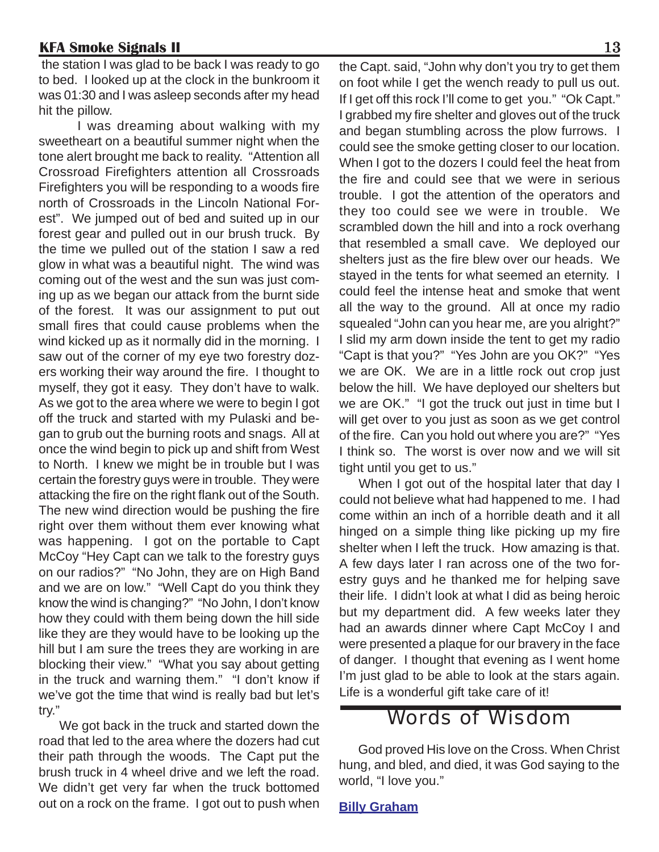the station I was glad to be back I was ready to go to bed. I looked up at the clock in the bunkroom it was 01:30 and I was asleep seconds after my head hit the pillow.

I was dreaming about walking with my sweetheart on a beautiful summer night when the tone alert brought me back to reality. "Attention all Crossroad Firefighters attention all Crossroads Firefighters you will be responding to a woods fire north of Crossroads in the Lincoln National Forest". We jumped out of bed and suited up in our forest gear and pulled out in our brush truck. By the time we pulled out of the station I saw a red glow in what was a beautiful night. The wind was coming out of the west and the sun was just coming up as we began our attack from the burnt side of the forest. It was our assignment to put out small fires that could cause problems when the wind kicked up as it normally did in the morning. I saw out of the corner of my eye two forestry dozers working their way around the fire. I thought to myself, they got it easy. They don't have to walk. As we got to the area where we were to begin I got off the truck and started with my Pulaski and began to grub out the burning roots and snags. All at once the wind begin to pick up and shift from West to North. I knew we might be in trouble but I was certain the forestry guys were in trouble. They were attacking the fire on the right flank out of the South. The new wind direction would be pushing the fire right over them without them ever knowing what was happening. I got on the portable to Capt McCoy "Hey Capt can we talk to the forestry guys on our radios?" "No John, they are on High Band and we are on low." "Well Capt do you think they know the wind is changing?" "No John, I don't know how they could with them being down the hill side like they are they would have to be looking up the hill but I am sure the trees they are working in are blocking their view." "What you say about getting in the truck and warning them." "I don't know if we've got the time that wind is really bad but let's try."

We got back in the truck and started down the road that led to the area where the dozers had cut their path through the woods. The Capt put the brush truck in 4 wheel drive and we left the road. We didn't get very far when the truck bottomed out on a rock on the frame. I got out to push when

the Capt. said, "John why don't you try to get them on foot while I get the wench ready to pull us out. If I get off this rock I'll come to get you." "Ok Capt." I grabbed my fire shelter and gloves out of the truck and began stumbling across the plow furrows. I could see the smoke getting closer to our location. When I got to the dozers I could feel the heat from the fire and could see that we were in serious trouble. I got the attention of the operators and they too could see we were in trouble. We scrambled down the hill and into a rock overhang that resembled a small cave. We deployed our shelters just as the fire blew over our heads. We stayed in the tents for what seemed an eternity. I could feel the intense heat and smoke that went all the way to the ground. All at once my radio squealed "John can you hear me, are you alright?" I slid my arm down inside the tent to get my radio "Capt is that you?" "Yes John are you OK?" "Yes we are OK. We are in a little rock out crop just below the hill. We have deployed our shelters but we are OK." "I got the truck out just in time but I will get over to you just as soon as we get control of the fire. Can you hold out where you are?" "Yes I think so. The worst is over now and we will sit tight until you get to us."

When I got out of the hospital later that day I could not believe what had happened to me. I had come within an inch of a horrible death and it all hinged on a simple thing like picking up my fire shelter when I left the truck. How amazing is that. A few days later I ran across one of the two forestry guys and he thanked me for helping save their life. I didn't look at what I did as being heroic but my department did. A few weeks later they had an awards dinner where Capt McCoy I and were presented a plaque for our bravery in the face of danger. I thought that evening as I went home I'm just glad to be able to look at the stars again. Life is a wonderful gift take care of it!

### Words of Wisdom

God proved His love on the Cross. When Christ hung, and bled, and died, it was God saying to the world, "I love you."

**Billy Graham**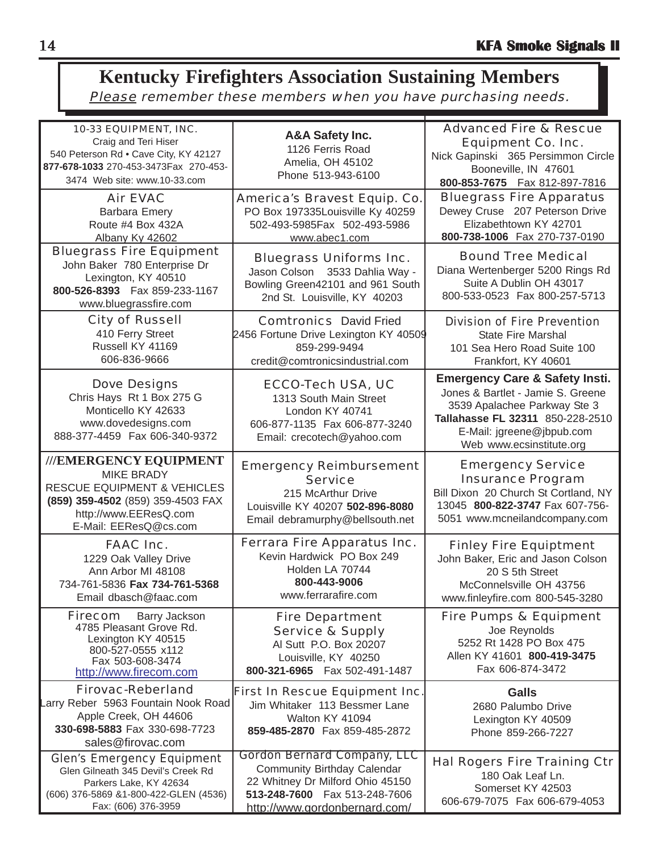### **Kentucky Firefighters Association Sustaining Members** Please remember these members when you have purchasing needs.

| 10-33 EQUIPMENT, INC.                                      | <b>A&amp;A Safety Inc.</b>            | <b>Advanced Fire &amp; Rescue</b>         |  |  |  |
|------------------------------------------------------------|---------------------------------------|-------------------------------------------|--|--|--|
| Craig and Teri Hiser                                       | 1126 Ferris Road                      | <b>Equipment Co. Inc.</b>                 |  |  |  |
| 540 Peterson Rd . Cave City, KY 42127                      |                                       | Nick Gapinski 365 Persimmon Circle        |  |  |  |
| 877-678-1033 270-453-3473Fax 270-453-                      | Amelia, OH 45102                      | Booneville, IN 47601                      |  |  |  |
| 3474 Web site: www.10-33.com                               | Phone 513-943-6100                    | 800-853-7675  Fax 812-897-7816            |  |  |  |
| <b>Air EVAC</b>                                            | America's Bravest Equip. Co.          | <b>Bluegrass Fire Apparatus</b>           |  |  |  |
|                                                            |                                       | Dewey Cruse 207 Peterson Drive            |  |  |  |
| <b>Barbara Emery</b>                                       | PO Box 197335Louisville Ky 40259      | Elizabethtown KY 42701                    |  |  |  |
| Route #4 Box 432A                                          | 502-493-5985Fax 502-493-5986          |                                           |  |  |  |
| Albany Ky 42602                                            | www.abec1.com                         | 800-738-1006 Fax 270-737-0190             |  |  |  |
| <b>Bluegrass Fire Equipment</b>                            | <b>Bluegrass Uniforms Inc.</b>        | <b>Bound Tree Medical</b>                 |  |  |  |
| John Baker 780 Enterprise Dr                               | Jason Colson 3533 Dahlia Way -        | Diana Wertenberger 5200 Rings Rd          |  |  |  |
| Lexington, KY 40510                                        | Bowling Green42101 and 961 South      | Suite A Dublin OH 43017                   |  |  |  |
| 800-526-8393  Fax 859-233-1167                             |                                       | 800-533-0523 Fax 800-257-5713             |  |  |  |
| www.bluegrassfire.com                                      | 2nd St. Louisville, KY 40203          |                                           |  |  |  |
| <b>City of Russell</b>                                     | <b>Comtronics</b> David Fried         | <b>Division of Fire Prevention</b>        |  |  |  |
| 410 Ferry Street                                           | 2456 Fortune Drive Lexington KY 40509 | <b>State Fire Marshal</b>                 |  |  |  |
| Russell KY 41169                                           | 859-299-9494                          | 101 Sea Hero Road Suite 100               |  |  |  |
| 606-836-9666                                               | credit@comtronicsindustrial.com       | Frankfort, KY 40601                       |  |  |  |
|                                                            |                                       |                                           |  |  |  |
| <b>Dove Designs</b>                                        | <b>ECCO-Tech USA, UC</b>              | <b>Emergency Care &amp; Safety Insti.</b> |  |  |  |
| Chris Hays Rt 1 Box 275 G                                  | 1313 South Main Street                | Jones & Bartlet - Jamie S. Greene         |  |  |  |
| Monticello KY 42633                                        | London KY 40741                       | 3539 Apalachee Parkway Ste 3              |  |  |  |
| www.dovedesigns.com                                        | 606-877-1135 Fax 606-877-3240         | Tallahasse FL 32311 850-228-2510          |  |  |  |
| 888-377-4459  Fax 606-340-9372                             |                                       | E-Mail: jgreene@jbpub.com                 |  |  |  |
|                                                            | Email: crecotech@yahoo.com            | Web www.ecsinstitute.org                  |  |  |  |
| ///EMERGENCY EQUIPMENT                                     |                                       |                                           |  |  |  |
| <b>MIKE BRADY</b>                                          | <b>Emergency Reimbursement</b>        | <b>Emergency Service</b>                  |  |  |  |
| <b>RESCUE EQUIPMENT &amp; VEHICLES</b>                     | <b>Service</b>                        | <b>Insurance Program</b>                  |  |  |  |
| (859) 359-4502 (859) 359-4503 FAX                          | 215 McArthur Drive                    | Bill Dixon 20 Church St Cortland, NY      |  |  |  |
|                                                            | Louisville KY 40207 502-896-8080      | 13045 800-822-3747 Fax 607-756-           |  |  |  |
| http://www.EEResQ.com<br>E-Mail: EEResQ@cs.com             | Email debramurphy@bellsouth.net       | 5051 www.mcneilandcompany.com             |  |  |  |
|                                                            |                                       |                                           |  |  |  |
| <b>FAAC Inc.</b>                                           | <b>Ferrara Fire Apparatus Inc.</b>    | <b>Finley Fire Equiptment</b>             |  |  |  |
| 1229 Oak Valley Drive                                      | Kevin Hardwick PO Box 249             | John Baker, Eric and Jason Colson         |  |  |  |
| Ann Arbor MI 48108                                         | Holden LA 70744                       | 20 S 5th Street                           |  |  |  |
| 734-761-5836 Fax 734-761-5368                              | 800-443-9006                          | McConnelsville OH 43756                   |  |  |  |
| Email dbasch@faac.com                                      | www.ferrarafire.com                   | www.finleyfire.com 800-545-3280           |  |  |  |
|                                                            |                                       |                                           |  |  |  |
| <b>Firecom</b><br>Barry Jackson<br>4785 Pleasant Grove Rd. | <b>Fire Department</b>                | <b>Fire Pumps &amp; Equipment</b>         |  |  |  |
| Lexington KY 40515                                         | <b>Service &amp; Supply</b>           | Joe Reynolds                              |  |  |  |
| 800-527-0555 x112                                          | Al Sutt P.O. Box 20207                | 5252 Rt 1428 PO Box 475                   |  |  |  |
| Fax 503-608-3474                                           | Louisville, KY 40250                  | Allen KY 41601 800-419-3475               |  |  |  |
| http://www.firecom.com                                     | 800-321-6965  Fax 502-491-1487        | Fax 606-874-3472                          |  |  |  |
| <b>Firovac-Reberland</b>                                   | <b>First In Rescue Equipment Inc.</b> | <b>Galls</b>                              |  |  |  |
| Larry Reber 5963 Fountain Nook Road                        |                                       |                                           |  |  |  |
| Apple Creek, OH 44606                                      | Jim Whitaker 113 Bessmer Lane         | 2680 Palumbo Drive                        |  |  |  |
| 330-698-5883 Fax 330-698-7723                              | Walton KY 41094                       | Lexington KY 40509                        |  |  |  |
| sales@firovac.com                                          | 859-485-2870 Fax 859-485-2872         | Phone 859-266-7227                        |  |  |  |
|                                                            | <b>Gordon Bernard Company, LLC</b>    |                                           |  |  |  |
| <b>Glen's Emergency Equipment</b>                          |                                       | <b>Hal Rogers Fire Training Ctr</b>       |  |  |  |
| Glen Gilneath 345 Devil's Creek Rd                         | Community Birthday Calendar           | 180 Oak Leaf Ln.                          |  |  |  |
| Parkers Lake, KY 42634                                     | 22 Whitney Dr Milford Ohio 45150      | Somerset KY 42503                         |  |  |  |
| (606) 376-5869 &1-800-422-GLEN (4536)                      | 513-248-7600  Fax 513-248-7606        | 606-679-7075 Fax 606-679-4053             |  |  |  |
| Fax: (606) 376-3959                                        | http://www.gordonbernard.com/         |                                           |  |  |  |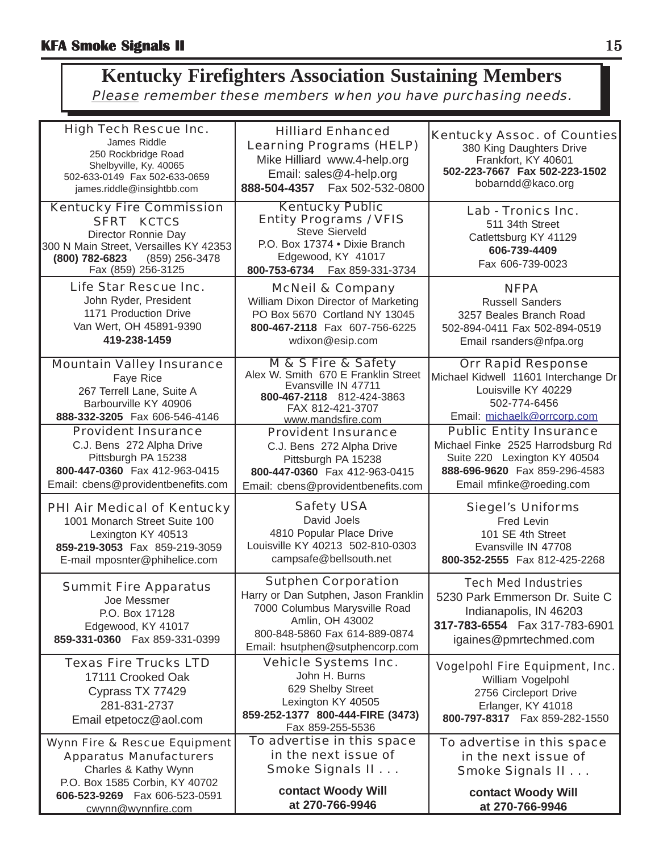### **Kentucky Firefighters Association Sustaining Members** Please remember these members when you have purchasing needs.

| <b>High Tech Rescue Inc.</b><br>James Riddle<br>250 Rockbridge Road<br>Shelbyville, Ky. 40065                                                                                   | <b>Hilliard Enhanced</b><br><b>Learning Programs (HELP)</b><br>Mike Hilliard www.4-help.org<br>Email: sales@4-help.org                                                                     | <b>Kentucky Assoc. of Counties</b><br>380 King Daughters Drive<br>Frankfort, KY 40601<br>502-223-7667 Fax 502-223-1502                                           |  |  |
|---------------------------------------------------------------------------------------------------------------------------------------------------------------------------------|--------------------------------------------------------------------------------------------------------------------------------------------------------------------------------------------|------------------------------------------------------------------------------------------------------------------------------------------------------------------|--|--|
| 502-633-0149  Fax 502-633-0659<br>james.riddle@insightbb.com                                                                                                                    | 888-504-4357    Fax 502-532-0800                                                                                                                                                           | bobarndd@kaco.org                                                                                                                                                |  |  |
| <b>Kentucky Fire Commission</b><br><b>SFRT KCTCS</b><br>Director Ronnie Day<br>300 N Main Street, Versailles KY 42353<br>(800) 782-6823<br>(859) 256-3478<br>Fax (859) 256-3125 | <b>Kentucky Public</b><br><b>Entity Programs / VFIS</b><br>Steve Sierveld<br>P.O. Box 17374 . Dixie Branch<br>Edgewood, KY 41017<br>800-753-6734    Fax 859-331-3734                       | Lab - Tronics Inc.<br>511 34th Street<br>Catlettsburg KY 41129<br>606-739-4409<br>Fax 606-739-0023                                                               |  |  |
| Life Star Rescue Inc.<br>John Ryder, President<br>1171 Production Drive<br>Van Wert, OH 45891-9390<br>419-238-1459                                                              | <b>McNeil &amp; Company</b><br>William Dixon Director of Marketing<br>PO Box 5670 Cortland NY 13045<br>800-467-2118 Fax 607-756-6225<br>wdixon@esip.com                                    | <b>NFPA</b><br><b>Russell Sanders</b><br>3257 Beales Branch Road<br>502-894-0411 Fax 502-894-0519<br>Email rsanders@nfpa.org                                     |  |  |
| <b>Mountain Valley Insurance</b><br>Faye Rice<br>267 Terrell Lane, Suite A<br>Barbourville KY 40906<br>888-332-3205 Fax 606-546-4146                                            | M & S Fire & Safety<br>Alex W. Smith 670 E Franklin Street<br>Evansville IN 47711<br>800-467-2118 812-424-3863<br>FAX 812-421-3707<br>www.mandsfire.com                                    | <b>Orr Rapid Response</b><br>Michael Kidwell 11601 Interchange Dr<br>Louisville KY 40229<br>502-774-6456<br>Email: michaelk@orrcorp.com                          |  |  |
| <b>Provident Insurance</b><br>C.J. Bens 272 Alpha Drive<br>Pittsburgh PA 15238<br>800-447-0360 Fax 412-963-0415<br>Email: cbens@providentbenefits.com                           | <b>Provident Insurance</b><br>C.J. Bens 272 Alpha Drive<br>Pittsburgh PA 15238<br>800-447-0360 Fax 412-963-0415<br>Email: cbens@providentbenefits.com                                      | <b>Public Entity Insurance</b><br>Michael Finke 2525 Harrodsburg Rd<br>Suite 220 Lexington KY 40504<br>888-696-9620 Fax 859-296-4583<br>Email mfinke@roeding.com |  |  |
| <b>PHI Air Medical of Kentucky</b><br>1001 Monarch Street Suite 100<br>Lexington KY 40513<br>859-219-3053 Fax 859-219-3059<br>E-mail mposnter@phihelice.com                     | <b>Safety USA</b><br>David Joels<br>4810 Popular Place Drive<br>Louisville KY 40213 502-810-0303<br>campsafe@bellsouth.net                                                                 | <b>Siegel's Uniforms</b><br>Fred Levin<br>101 SE 4th Street<br>Evansville IN 47708<br>800-352-2555 Fax 812-425-2268                                              |  |  |
| <b>Summit Fire Apparatus</b><br>Joe Messmer<br>P.O. Box 17128<br>Edgewood, KY 41017<br>859-331-0360  Fax 859-331-0399                                                           | <b>Sutphen Corporation</b><br>Harry or Dan Sutphen, Jason Franklin<br>7000 Columbus Marysville Road<br>Amlin, OH 43002<br>800-848-5860 Fax 614-889-0874<br>Email: hsutphen@sutphencorp.com | <b>Tech Med Industries</b><br>5230 Park Emmerson Dr. Suite C<br>Indianapolis, IN 46203<br>317-783-6554  Fax 317-783-6901<br>igaines@pmrtechmed.com               |  |  |
| <b>Texas Fire Trucks LTD</b><br>17111 Crooked Oak<br>Cyprass TX 77429<br>281-831-2737<br>Email etpetocz@aol.com                                                                 | <b>Vehicle Systems Inc.</b><br>John H. Burns<br>629 Shelby Street<br>Lexington KY 40505<br>859-252-1377 800-444-FIRE (3473)<br>Fax 859-255-5536                                            | <b>Vogelpohl Fire Equipment, Inc.</b><br>William Vogelpohl<br>2756 Circleport Drive<br>Erlanger, KY 41018<br>800-797-8317  Fax 859-282-1550                      |  |  |
| <b>Wynn Fire &amp; Rescue Equipment</b><br><b>Apparatus Manufacturers</b><br>Charles & Kathy Wynn<br>P.O. Box 1585 Corbin, KY 40702                                             | To advertise in this space<br>in the next issue of<br>Smoke Signals II                                                                                                                     | To advertise in this space<br>in the next issue of<br>Smoke Signals II                                                                                           |  |  |
| 606-523-9269  Fax 606-523-0591<br>cwynn@wynnfire.com                                                                                                                            | contact Woody Will<br>at 270-766-9946                                                                                                                                                      | contact Woody Will<br>at 270-766-9946                                                                                                                            |  |  |